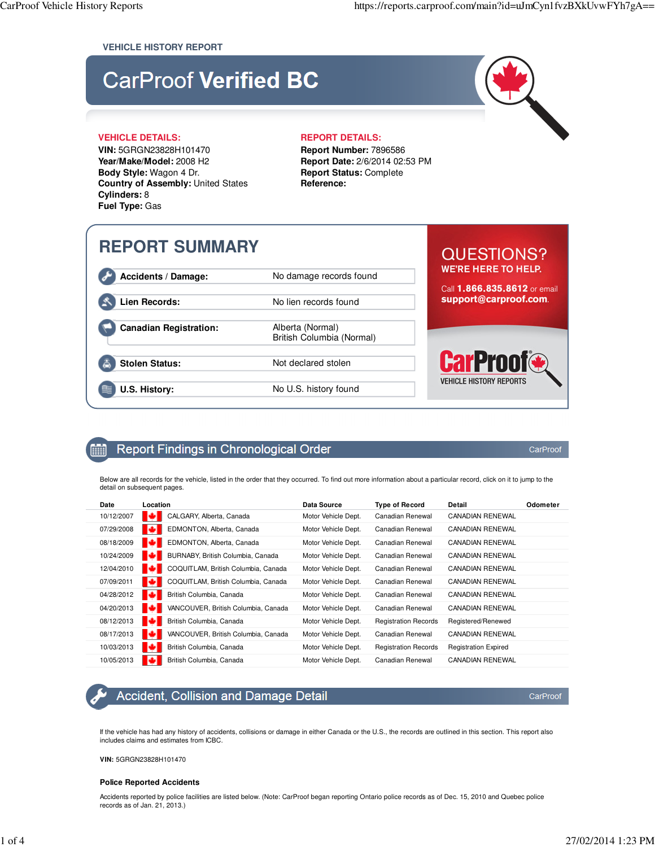#### **VEHICLE HISTORY REPORT**

# **CarProof Verified BC**

#### **VEHICLE DETAILS: REPORT DETAILS:**

**VIN:** 5GRGN23828H101470 **Year/Make/Model:** 2008 H2 **Body Style:** Wagon 4 Dr. **Country of Assembly:** United States **Cylinders:** 8 **Fuel Type:** Gas

**Report Number:** 7896586 **Report Date:** 2/6/2014 02:53 PM **Report Status:** Complete **Reference:**

# **REPORT SUMMARY**

Accidents / Damage: No damage records found

**Canadian Registration:** Alberta (Normal)

Stolen Status: Not declared stolen

**U.S. History:** No U.S. history found

## Lien Records: No lien records found

British Columbia (Normal)

# **QUESTIONS? WE'RE HERE TO HELP.**

Call 1.866.835.8612 or email support@carproof.com.

**VEHICLE HISTORY REPORTS** 

#### Report Findings in Chronological Order Ŵ

Below are all records for the vehicle, listed in the order that they occurred. To find out more information about a particular record, click on it to jump to the detail on subsequent pages.

| Date       | Location                                 | Data Source         | <b>Type of Record</b>       | Detail                      | Odometer |
|------------|------------------------------------------|---------------------|-----------------------------|-----------------------------|----------|
| 10/12/2007 | ю<br>CALGARY, Alberta, Canada            | Motor Vehicle Dept. | Canadian Renewal            | CANADIAN RENEWAL            |          |
| 07/29/2008 | EDMONTON, Alberta, Canada<br>ю           | Motor Vehicle Dept. | Canadian Renewal            | CANADIAN RENEWAL            |          |
| 08/18/2009 | ю<br>EDMONTON, Alberta, Canada           | Motor Vehicle Dept. | Canadian Renewal            | CANADIAN RENEWAL            |          |
| 10/24/2009 | BURNABY, British Columbia, Canada<br>ю   | Motor Vehicle Dept. | Canadian Renewal            | <b>CANADIAN RENEWAL</b>     |          |
| 12/04/2010 | COQUITLAM, British Columbia, Canada<br>ю | Motor Vehicle Dept. | Canadian Renewal            | <b>CANADIAN RENEWAL</b>     |          |
| 07/09/2011 | COQUITLAM, British Columbia, Canada<br>ю | Motor Vehicle Dept. | Canadian Renewal            | CANADIAN RENEWAL            |          |
| 04/28/2012 | ю<br>British Columbia, Canada            | Motor Vehicle Dept. | Canadian Renewal            | CANADIAN RENEWAL            |          |
| 04/20/2013 | VANCOUVER, British Columbia, Canada<br>м | Motor Vehicle Dept. | Canadian Renewal            | <b>CANADIAN RENEWAL</b>     |          |
| 08/12/2013 | ю<br>British Columbia, Canada            | Motor Vehicle Dept. | <b>Registration Records</b> | Registered/Renewed          |          |
| 08/17/2013 | ю<br>VANCOUVER, British Columbia, Canada | Motor Vehicle Dept. | Canadian Renewal            | CANADIAN RENEWAL            |          |
| 10/03/2013 | ю<br>British Columbia, Canada            | Motor Vehicle Dept. | <b>Registration Records</b> | <b>Registration Expired</b> |          |
| 10/05/2013 | ю<br>British Columbia, Canada            | Motor Vehicle Dept. | Canadian Renewal            | <b>CANADIAN RENEWAL</b>     |          |

# Accident, Collision and Damage Detail

CarProof

CarProof

If the vehicle has had any history of accidents, collisions or damage in either Canada or the U.S., the records are outlined in this section. This report also includes claims and estimates from ICBC.

**VIN:** 5GRGN23828H101470

#### **Police Reported Accidents**

Accidents reported by police facilities are listed below. (Note: CarProof began reporting Ontario police records as of Dec. 15, 2010 and Quebec police records as of Jan. 21, 2013.)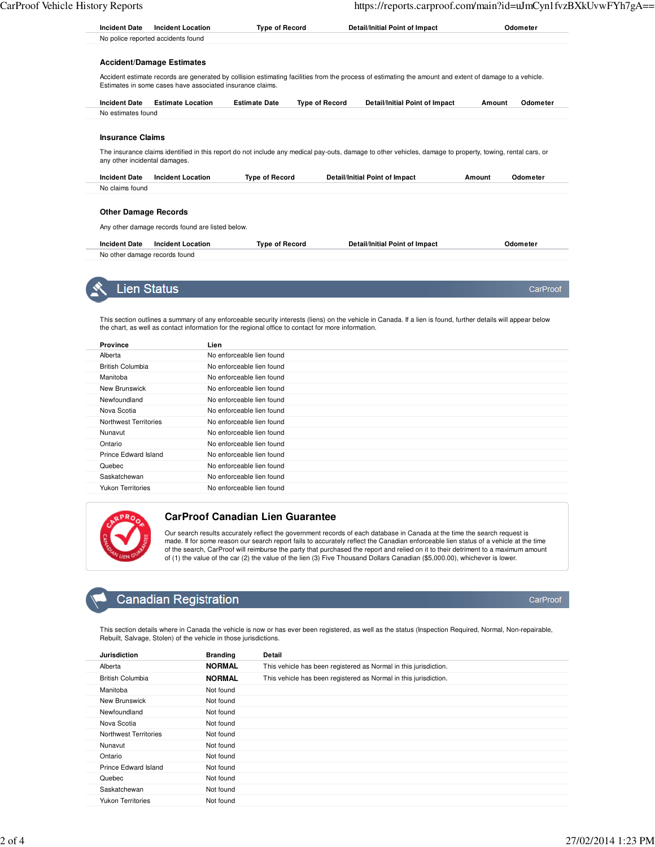CarProof

CarProof

| <b>Incident Date</b>                                                                                                                                                                                                 | <b>Incident Location</b>                         | <b>Type of Record</b> |                       | Detail/Initial Point of Impact                                                                                                                            |        | Odometer |  |
|----------------------------------------------------------------------------------------------------------------------------------------------------------------------------------------------------------------------|--------------------------------------------------|-----------------------|-----------------------|-----------------------------------------------------------------------------------------------------------------------------------------------------------|--------|----------|--|
|                                                                                                                                                                                                                      | No police reported accidents found               |                       |                       |                                                                                                                                                           |        |          |  |
|                                                                                                                                                                                                                      | <b>Accident/Damage Estimates</b>                 |                       |                       |                                                                                                                                                           |        |          |  |
| Accident estimate records are generated by collision estimating facilities from the process of estimating the amount and extent of damage to a vehicle.<br>Estimates in some cases have associated insurance claims. |                                                  |                       |                       |                                                                                                                                                           |        |          |  |
| <b>Incident Date</b>                                                                                                                                                                                                 | <b>Estimate Location</b>                         | <b>Estimate Date</b>  | <b>Type of Record</b> | Detail/Initial Point of Impact                                                                                                                            | Amount | Odometer |  |
| No estimates found                                                                                                                                                                                                   |                                                  |                       |                       |                                                                                                                                                           |        |          |  |
|                                                                                                                                                                                                                      |                                                  |                       |                       | The insurance claims identified in this report do not include any medical pay-outs, damage to other vehicles, damage to property, towing, rental cars, or |        |          |  |
| <b>Insurance Claims</b><br>any other incidental damages.<br><b>Incident Date</b>                                                                                                                                     | <b>Incident Location</b>                         | <b>Type of Record</b> |                       | <b>Detail/Initial Point of Impact</b>                                                                                                                     | Amount | Odometer |  |
|                                                                                                                                                                                                                      |                                                  |                       |                       |                                                                                                                                                           |        |          |  |
| <b>Other Damage Records</b>                                                                                                                                                                                          |                                                  |                       |                       |                                                                                                                                                           |        |          |  |
| No claims found                                                                                                                                                                                                      | Any other damage records found are listed below. |                       |                       |                                                                                                                                                           |        |          |  |
| <b>Incident Date</b>                                                                                                                                                                                                 | <b>Incident Location</b>                         | <b>Type of Record</b> |                       | Detail/Initial Point of Impact                                                                                                                            |        | Odometer |  |

**Lien Status** 

This section outlines a summary of any enforceable security interests (liens) on the vehicle in Canada. If a lien is found, further details will appear below the chart, as well as contact information for the regional office to contact for more information.

| <b>Province</b>          | Lien                      |
|--------------------------|---------------------------|
| Alberta                  | No enforceable lien found |
| <b>British Columbia</b>  | No enforceable lien found |
| Manitoba                 | No enforceable lien found |
| New Brunswick            | No enforceable lien found |
| Newfoundland             | No enforceable lien found |
| Nova Scotia              | No enforceable lien found |
| Northwest Territories    | No enforceable lien found |
| Nunavut                  | No enforceable lien found |
| Ontario                  | No enforceable lien found |
| Prince Edward Island     | No enforceable lien found |
| Quebec                   | No enforceable lien found |
| Saskatchewan             | No enforceable lien found |
| <b>Yukon Territories</b> | No enforceable lien found |



#### **CarProof Canadian Lien Guarantee**

Our search results accurately reflect the government records of each database in Canada at the time the search request is made. If for some reason our search report fails to accurately reflect the Canadian enforceable lien status of a vehicle at the time of the search, CarProof will reimburse the party that purchased the report and relied on it to their detriment to a maximum amount of (1) the value of the car (2) the value of the lien (3) Five Thousand Dollars Canadian (\$5,000.00), whichever is lower.

# **Canadian Registration**

This section details where in Canada the vehicle is now or has ever been registered, as well as the status (Inspection Required, Normal, Non-repairable, Rebuilt, Salvage, Stolen) of the vehicle in those jurisdictions.

| <b>Jurisdiction</b>      | <b>Branding</b> | Detail                                                           |
|--------------------------|-----------------|------------------------------------------------------------------|
| Alberta                  | <b>NORMAL</b>   | This vehicle has been registered as Normal in this jurisdiction. |
| <b>British Columbia</b>  | <b>NORMAL</b>   | This vehicle has been registered as Normal in this jurisdiction. |
| Manitoba                 | Not found       |                                                                  |
| New Brunswick            | Not found       |                                                                  |
| Newfoundland             | Not found       |                                                                  |
| Nova Scotia              | Not found       |                                                                  |
| Northwest Territories    | Not found       |                                                                  |
| Nunavut                  | Not found       |                                                                  |
| Ontario                  | Not found       |                                                                  |
| Prince Edward Island     | Not found       |                                                                  |
| Quebec                   | Not found       |                                                                  |
| Saskatchewan             | Not found       |                                                                  |
| <b>Yukon Territories</b> | Not found       |                                                                  |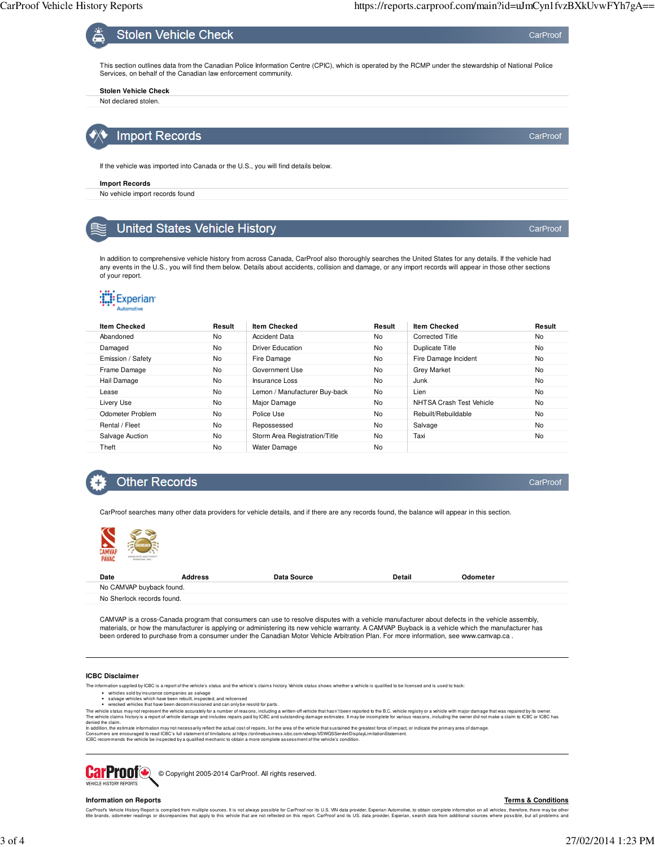CarProof

CarProof



If the vehicle was imported into Canada or the U.S., you will find details below.

#### **Import Records**

No vehicle import records found

## **United States Vehicle History**

In addition to comprehensive vehicle history from across Canada, CarProof also thoroughly searches the United States for any details. If the vehicle had any events in the U.S., you will find them below. Details about accidents, collision and damage, or any import records will appear in those other sections of your report.

# **Experian**

| <b>Item Checked</b> | Result | <b>Item Checked</b>           | Result | <b>Item Checked</b>      | Result    |
|---------------------|--------|-------------------------------|--------|--------------------------|-----------|
| Abandoned           | No     | <b>Accident Data</b>          | No     | <b>Corrected Title</b>   | <b>No</b> |
| Damaged             | No     | <b>Driver Education</b>       | No     | <b>Duplicate Title</b>   | <b>No</b> |
| Emission / Safety   | No     | Fire Damage                   | No     | Fire Damage Incident     | <b>No</b> |
| Frame Damage        | No     | Government Use                | No     | <b>Grey Market</b>       | <b>No</b> |
| Hail Damage         | No     | Insurance Loss                | No     | Junk                     | <b>No</b> |
| Lease               | No     | Lemon / Manufacturer Buy-back | No     | Lien                     | No        |
| Livery Use          | No     | Major Damage                  | No     | NHTSA Crash Test Vehicle | <b>No</b> |
| Odometer Problem    | No     | Police Use                    | No     | Rebuilt/Rebuildable      | <b>No</b> |
| Rental / Fleet      | No     | Repossessed                   | No     | Salvage                  | <b>No</b> |
| Salvage Auction     | No     | Storm Area Registration/Title | No     | Taxi                     | No        |
| Theft               | No     | Water Damage                  | No     |                          |           |

## **Other Records**

CarProof

CarProof searches many other data providers for vehicle details, and if there are any records found, the balance will appear in this section.



| Date                       | <b>Address</b> | Data Source | Detail | Odometer |  |
|----------------------------|----------------|-------------|--------|----------|--|
| No CAMVAP buyback found.   |                |             |        |          |  |
| No Sherlock records found. |                |             |        |          |  |

CAMVAP is a cross-Canada program that consumers can use to resolve disputes with a vehicle manufacturer about defects in the vehicle assembly, materials, or how the manufacturer is applying or administering its new vehicle warranty. A CAMVAP Buyback is a vehicle which the manufacturer has<br>been ordered to purchase from a consumer under the Canadian Motor Vehicle A

#### **ICBC Disclaimer**

The information supplied by ICBC is a report of the vehicle's status and the vehicle's claims history. Vehicle status shows whether a vehicle is qualified to be licensed and is used to track:

- 
- vehicles sold by insurance companies as salvage<br>salvage vehicles which have been rebuilt, inspected, and relicensed<br>wrecked vehicles that have been decommissioned and can only be resold for parts.

The whicle status may not represent the whicle accurately for a number of reasons, including a written-off whicle that hasn't been reported to he B.C. vehicle claims history is a report of whicle damage and includes repair

### **CarProof** © Copyright 2005-2014 CarProof. All rights reserved. VEHICLE HISTORY REPORTS

#### **Information on Reports**

**Terms & Conditions**

CarProofs Vehide History Report is complied form multiple sources. It is not always possible for CarProof nor its U.S. VIN data provider, Experian Automotive, to obtain complete information all whicles, there may be obtain